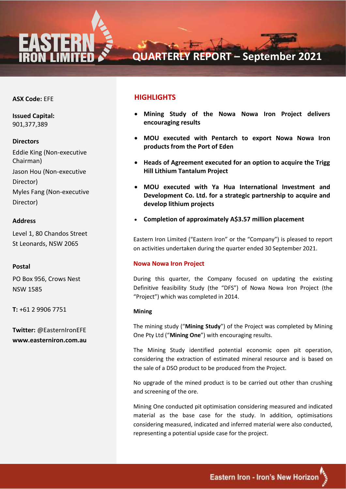

**QUARTERLY REPORT – September 2021**

### **ASX Code:** EFE

**Issued Capital:** 901,377,389

#### **Directors**

Eddie King (Non-executive Chairman) Jason Hou (Non-executive Director) Myles Fang (Non-executive Director)

### **Address**

Level 1, 80 Chandos Street St Leonards, NSW 2065

### **Postal**

PO Box 956, Crows Nest NSW 1585

**T:** +61 2 9906 7751

**Twitter:** @EasternIronEFE **www.easterniron.com.au**

## **HIGHLIGHTS**

- **Mining Study of the Nowa Nowa Iron Project delivers encouraging results**
- **MOU executed with Pentarch to export Nowa Nowa Iron products from the Port of Eden**
- **Heads of Agreement executed for an option to acquire the Trigg Hill Lithium Tantalum Project**
- **MOU executed with Ya Hua International Investment and Development Co. Ltd. for a strategic partnership to acquire and develop lithium projects**
- **Completion of approximately A\$3.57 million placement**

Eastern Iron Limited ("Eastern Iron" or the "Company") is pleased to report on activities undertaken during the quarter ended 30 September 2021.

### **Nowa Nowa Iron Project**

During this quarter, the Company focused on updating the existing Definitive feasibility Study (the "DFS") of Nowa Nowa Iron Project (the "Project") which was completed in 2014.

#### **Mining**

The mining study ("**Mining Study**") of the Project was completed by Mining One Pty Ltd ("**Mining One**") with encouraging results.

The Mining Study identified potential economic open pit operation, considering the extraction of estimated mineral resource and is based on the sale of a DSO product to be produced from the Project.

No upgrade of the mined product is to be carried out other than crushing and screening of the ore.

Mining One conducted pit optimisation considering measured and indicated material as the base case for the study. In addition, optimisations considering measured, indicated and inferred material were also conducted, representing a potential upside case for the project.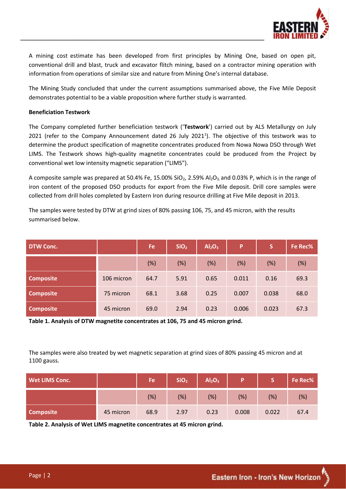

A mining cost estimate has been developed from first principles by Mining One, based on open pit, conventional drill and blast, truck and excavator flitch mining, based on a contractor mining operation with information from operations of similar size and nature from Mining One's internal database.

The Mining Study concluded that under the current assumptions summarised above, the Five Mile Deposit demonstrates potential to be a viable proposition where further study is warranted.

## **Beneficiation Testwork**

The Company completed further beneficiation testwork ('**Testwork**') carried out by ALS Metallurgy on July 2021 (refer to the Company Announcement dated 26 July 2021<sup>1</sup>). The objective of this testwork was to determine the product specification of magnetite concentrates produced from Nowa Nowa DSO through Wet LIMS. The Testwork shows high-quality magnetite concentrates could be produced from the Project by conventional wet low intensity magnetic separation ("LIMS").

A composite sample was prepared at 50.4% Fe, 15.00% SiO<sub>2</sub>, 2.59% Al<sub>2</sub>O<sub>3</sub>, and 0.03% P, which is in the range of iron content of the proposed DSO products for export from the Five Mile deposit. Drill core samples were collected from drill holes completed by Eastern Iron during resource drilling at Five Mile deposit in 2013.

The samples were tested by DTW at grind sizes of 80% passing 106, 75, and 45 micron, with the results summarised below.

| <b>DTW Conc.</b> |            | Fe   | SiO <sub>2</sub> | Al <sub>2</sub> O <sub>3</sub> | $\mathsf{P}'$ | S     | Fe Rec% |
|------------------|------------|------|------------------|--------------------------------|---------------|-------|---------|
|                  |            | (%)  | (%)              | (%)                            | (%)           | (%)   | (%)     |
| <b>Composite</b> | 106 micron | 64.7 | 5.91             | 0.65                           | 0.011         | 0.16  | 69.3    |
| Composite        | 75 micron  | 68.1 | 3.68             | 0.25                           | 0.007         | 0.038 | 68.0    |
| Composite        | 45 micron  | 69.0 | 2.94             | 0.23                           | 0.006         | 0.023 | 67.3    |



The samples were also treated by wet magnetic separation at grind sizes of 80% passing 45 micron and at 1100 gauss.

| <b>Wet LIMS Conc.</b> |           | Fe   | SiO <sub>2</sub> | Al <sub>2</sub> O <sub>3</sub> | D     | −      | Fe Rec% |
|-----------------------|-----------|------|------------------|--------------------------------|-------|--------|---------|
|                       |           | (%)  | (%)              | (%)                            | (%)   | $(\%)$ | (%)     |
| <b>Composite</b>      | 45 micron | 68.9 | 2.97             | 0.23                           | 0.008 | 0.022  | 67.4    |

**Table 2. Analysis of Wet LIMS magnetite concentrates at 45 micron grind.**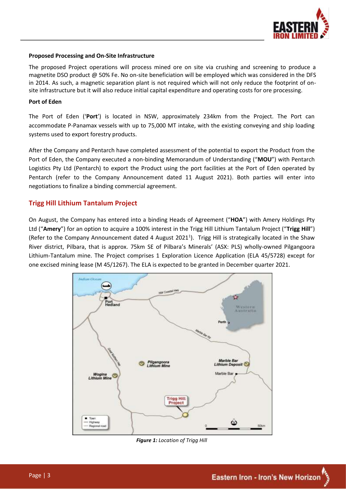

### **Proposed Processing and On-Site Infrastructure**

The proposed Project operations will process mined ore on site via crushing and screening to produce a magnetite DSO product @ 50% Fe. No on-site beneficiation will be employed which was considered in the DFS in 2014. As such, a magnetic separation plant is not required which will not only reduce the footprint of onsite infrastructure but it will also reduce initial capital expenditure and operating costs for ore processing.

#### **Port of Eden**

The Port of Eden ('**Port**') is located in NSW, approximately 234km from the Project. The Port can accommodate P-Panamax vessels with up to 75,000 MT intake, with the existing conveying and ship loading systems used to export forestry products.

After the Company and Pentarch have completed assessment of the potential to export the Product from the Port of Eden, the Company executed a non-binding Memorandum of Understanding ("**MOU**") with Pentarch Logistics Pty Ltd (Pentarch) to export the Product using the port facilities at the Port of Eden operated by Pentarch (refer to the Company Announcement dated 11 August 2021). Both parties will enter into negotiations to finalize a binding commercial agreement.

# **Trigg Hill Lithium Tantalum Project**

On August, the Company has entered into a binding Heads of Agreement ("**HOA**") with Amery Holdings Pty Ltd ("**Amery**") for an option to acquire a 100% interest in the Trigg Hill Lithium Tantalum Project ("**Trigg Hill**") (Refer to the Company Announcement dated 4 August 2021<sup>1</sup>). Trigg Hill is strategically located in the Shaw River district, Pilbara, that is approx. 75km SE of Pilbara's Minerals' (ASX: PLS) wholly-owned Pilgangoora Lithium-Tantalum mine. The Project comprises 1 Exploration Licence Application (ELA 45/5728) except for one excised mining lease (M 45/1267). The ELA is expected to be granted in December quarter 2021.



*Figure 1: Location of Trigg Hill*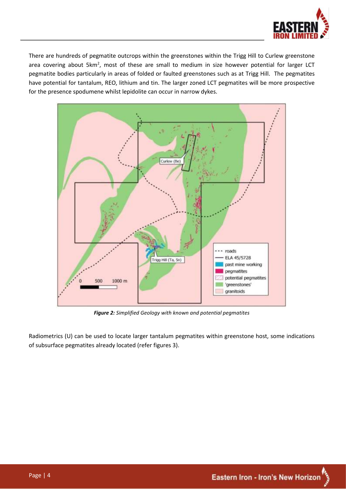

There are hundreds of pegmatite outcrops within the greenstones within the Trigg Hill to Curlew greenstone area covering about 5km<sup>2</sup>, most of these are small to medium in size however potential for larger LCT pegmatite bodies particularly in areas of folded or faulted greenstones such as at Trigg Hill. The pegmatites have potential for tantalum, REO, lithium and tin. The larger zoned LCT pegmatites will be more prospective for the presence spodumene whilst lepidolite can occur in narrow dykes.



*Figure 2: Simplified Geology with known and potential pegmatites*

Radiometrics (U) can be used to locate larger tantalum pegmatites within greenstone host, some indications of subsurface pegmatites already located (refer figures 3).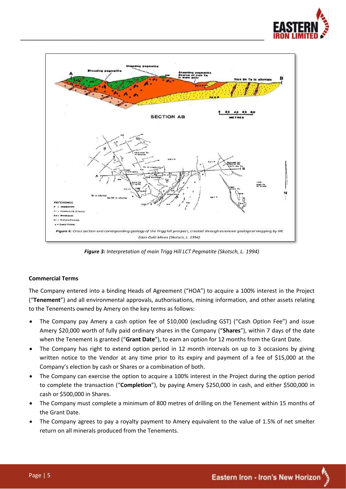



*Figure 3: Interpretation of main Trigg Hill LCT Pegmatite (Skotsch, L. 1994)*

### **Commercial Terms**

The Company entered into a binding Heads of Agreement ("HOA") to acquire a 100% interest in the Project ("**Tenement**") and all environmental approvals, authorisations, mining information, and other assets relating to the Tenements owned by Amery on the key terms as follows:

- The Company pay Amery a cash option fee of \$10,000 (excluding GST) ("Cash Option Fee") and issue Amery \$20,000 worth of fully paid ordinary shares in the Company ("**Shares**"), within 7 days of the date when the Tenement is granted ("**Grant Date**"), to earn an option for 12 months from the Grant Date.
- The Company has right to extend option period in 12 month intervals on up to 3 occasions by giving written notice to the Vendor at any time prior to its expiry and payment of a fee of \$15,000 at the Company's election by cash or Shares or a combination of both.
- The Company can exercise the option to acquire a 100% interest in the Project during the option period to complete the transaction ("**Completion**"), by paying Amery \$250,000 in cash, and either \$500,000 in cash or \$500,000 in Shares.
- The Company must complete a minimum of 800 metres of drilling on the Tenement within 15 months of the Grant Date.
- The Company agrees to pay a royalty payment to Amery equivalent to the value of 1.5% of net smelter return on all minerals produced from the Tenements.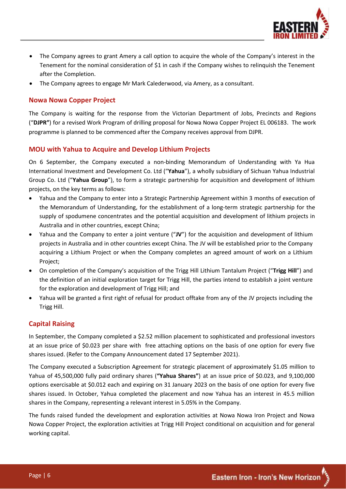

- The Company agrees to grant Amery a call option to acquire the whole of the Company's interest in the Tenement for the nominal consideration of \$1 in cash if the Company wishes to relinquish the Tenement after the Completion.
- The Company agrees to engage Mr Mark Calederwood, via Amery, as a consultant.

# **Nowa Nowa Copper Project**

The Company is waiting for the response from the Victorian Department of Jobs, Precincts and Regions ("**DJPR"**) for a revised Work Program of drilling proposal for Nowa Nowa Copper Project EL 006183. The work programme is planned to be commenced after the Company receives approval from DJPR.

# **MOU with Yahua to Acquire and Develop Lithium Projects**

On 6 September, the Company executed a non-binding Memorandum of Understanding with Ya Hua International Investment and Development Co. Ltd ("**Yahua**"), a wholly subsidiary of Sichuan Yahua Industrial Group Co. Ltd ("**Yahua Group**"), to form a strategic partnership for acquisition and development of lithium projects, on the key terms as follows:

- Yahua and the Company to enter into a Strategic Partnership Agreement within 3 months of execution of the Memorandum of Understanding, for the establishment of a long-term strategic partnership for the supply of spodumene concentrates and the potential acquisition and development of lithium projects in Australia and in other countries, except China;
- Yahua and the Company to enter a joint venture ("**JV**") for the acquisition and development of lithium projects in Australia and in other countries except China. The JV will be established prior to the Company acquiring a Lithium Project or when the Company completes an agreed amount of work on a Lithium Project;
- On completion of the Company's acquisition of the Trigg Hill Lithium Tantalum Project ("**Trigg Hill**") and the definition of an initial exploration target for Trigg Hill, the parties intend to establish a joint venture for the exploration and development of Trigg Hill; and
- Yahua will be granted a first right of refusal for product offtake from any of the JV projects including the Trigg Hill.

# **Capital Raising**

In September, the Company completed a \$2.52 million placement to sophisticated and professional investors at an issue price of \$0.023 per share with free attaching options on the basis of one option for every five shares issued. (Refer to the Company Announcement dated 17 September 2021).

The Company executed a Subscription Agreement for strategic placement of approximately \$1.05 million to Yahua of 45,500,000 fully paid ordinary shares (**"Yahua Shares"**) at an issue price of \$0.023, and 9,100,000 options exercisable at \$0.012 each and expiring on 31 January 2023 on the basis of one option for every five shares issued. In October, Yahua completed the placement and now Yahua has an interest in 45.5 million shares in the Company, representing a relevant interest in 5.05% in the Company.

The funds raised funded the development and exploration activities at Nowa Nowa Iron Project and Nowa Nowa Copper Project, the exploration activities at Trigg Hill Project conditional on acquisition and for general working capital.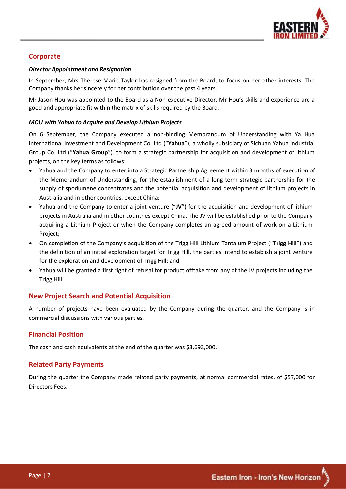

# **Corporate**

#### *Director Appointment and Resignation*

In September, Mrs Therese-Marie Taylor has resigned from the Board, to focus on her other interests. The Company thanks her sincerely for her contribution over the past 4 years.

Mr Jason Hou was appointed to the Board as a Non-executive Director. Mr Hou's skills and experience are a good and appropriate fit within the matrix of skills required by the Board.

### *MOU with Yahua to Acquire and Develop Lithium Projects*

On 6 September, the Company executed a non-binding Memorandum of Understanding with Ya Hua International Investment and Development Co. Ltd ("**Yahua**"), a wholly subsidiary of Sichuan Yahua Industrial Group Co. Ltd ("**Yahua Group**"), to form a strategic partnership for acquisition and development of lithium projects, on the key terms as follows:

- Yahua and the Company to enter into a Strategic Partnership Agreement within 3 months of execution of the Memorandum of Understanding, for the establishment of a long-term strategic partnership for the supply of spodumene concentrates and the potential acquisition and development of lithium projects in Australia and in other countries, except China;
- Yahua and the Company to enter a joint venture ("**JV**") for the acquisition and development of lithium projects in Australia and in other countries except China. The JV will be established prior to the Company acquiring a Lithium Project or when the Company completes an agreed amount of work on a Lithium Project;
- On completion of the Company's acquisition of the Trigg Hill Lithium Tantalum Project ("**Trigg Hill**") and the definition of an initial exploration target for Trigg Hill, the parties intend to establish a joint venture for the exploration and development of Trigg Hill; and
- Yahua will be granted a first right of refusal for product offtake from any of the JV projects including the Trigg Hill.

# **New Project Search and Potential Acquisition**

A number of projects have been evaluated by the Company during the quarter, and the Company is in commercial discussions with various parties.

# **Financial Position**

The cash and cash equivalents at the end of the quarter was \$3,692,000.

# **Related Party Payments**

During the quarter the Company made related party payments, at normal commercial rates, of \$57,000 for Directors Fees.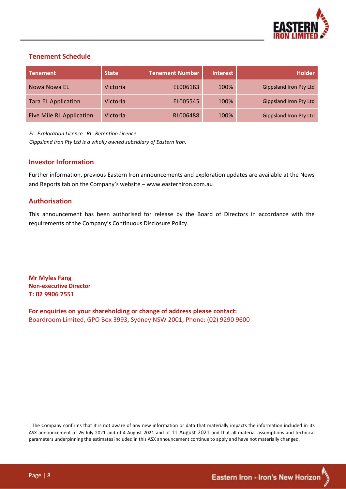

# **Tenement Schedule**

| <b>Tenement</b>            | <b>State</b>    | <b>Tenement Number</b> | <b>Interest</b> | <b>Holder</b>                 |
|----------------------------|-----------------|------------------------|-----------------|-------------------------------|
| Nowa Nowa EL               | <b>Victoria</b> | EL006183               | 100%            | <b>Gippsland Iron Pty Ltd</b> |
| <b>Tara EL Application</b> | <b>Victoria</b> | EL005545               | 100%            | <b>Gippsland Iron Pty Ltd</b> |
| Five Mile RL Application   | <b>Victoria</b> | RL006488               | 100%            | <b>Gippsland Iron Pty Ltd</b> |

*EL: Exploration Licence RL: Retention Licence Gippsland Iron Pty Ltd is a wholly owned subsidiary of Eastern Iron.*

# **Investor Information**

Further information, previous Eastern Iron announcements and exploration updates are available at the News and Reports tab on the Company's website – [www.easterniron.com.au](http://www.easterniron.com.au/)

# **Authorisation**

This announcement has been authorised for release by the Board of Directors in accordance with the requirements of the Company's Continuous Disclosure Policy.

**Mr Myles Fang Non-executive Director T: 02 9906 7551**

**For enquiries on your shareholding or change of address please contact:** Boardroom Limited, GPO Box 3993, Sydney NSW 2001, Phone: (02) 9290 9600

 $1$  The Company confirms that it is not aware of any new information or data that materially impacts the information included in its ASX announcement of 26 July 2021 and of 4 August 2021 and of 11 August 2021 and that all material assumptions and technical parameters underpinning the estimates included in this ASX announcement continue to apply and have not materially changed.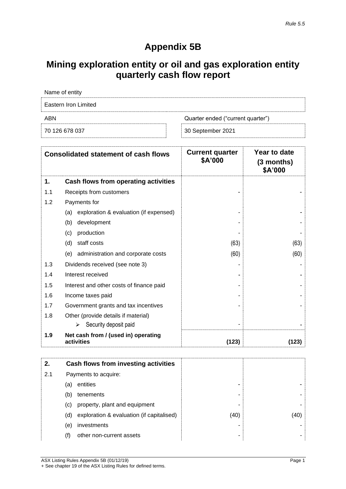# **Appendix 5B**

# **Mining exploration entity or oil and gas exploration entity quarterly cash flow report**

| Name of entity       |                                   |
|----------------------|-----------------------------------|
| Eastern Iron Limited |                                   |
| ABN                  | Quarter ended ("current quarter") |
| 70 126 678 037       | 30 September 2021                 |

|     | <b>Consolidated statement of cash flows</b>       | <b>Current quarter</b><br>\$A'000 | Year to date<br>$(3$ months)<br>\$A'000 |
|-----|---------------------------------------------------|-----------------------------------|-----------------------------------------|
| 1.  | Cash flows from operating activities              |                                   |                                         |
| 1.1 | Receipts from customers                           |                                   |                                         |
| 1.2 | Payments for                                      |                                   |                                         |
|     | exploration & evaluation (if expensed)<br>(a)     |                                   |                                         |
|     | (b)<br>development                                |                                   |                                         |
|     | production<br>(c)                                 |                                   |                                         |
|     | staff costs<br>(d)                                | (63)                              | (63)                                    |
|     | administration and corporate costs<br>(e)         | (60)                              | (60)                                    |
| 1.3 | Dividends received (see note 3)                   |                                   |                                         |
| 1.4 | Interest received                                 |                                   |                                         |
| 1.5 | Interest and other costs of finance paid          |                                   |                                         |
| 1.6 | Income taxes paid                                 |                                   |                                         |
| 1.7 | Government grants and tax incentives              |                                   |                                         |
| 1.8 | Other (provide details if material)               |                                   |                                         |
|     | Security deposit paid<br>⋗                        |                                   |                                         |
| 1.9 | Net cash from / (used in) operating<br>activities | (123)                             | (123)                                   |

| 2.  |     | Cash flows from investing activities      |      |      |
|-----|-----|-------------------------------------------|------|------|
| 2.1 |     | Payments to acquire:                      |      |      |
|     | (a) | entities                                  | -    |      |
|     | (b) | tenements                                 | ۰    |      |
|     | (C) | property, plant and equipment             | -    |      |
|     | (d) | exploration & evaluation (if capitalised) | (40) | (40) |
|     | (e) | investments                               | ۰    |      |
|     | (†) | other non-current assets                  |      |      |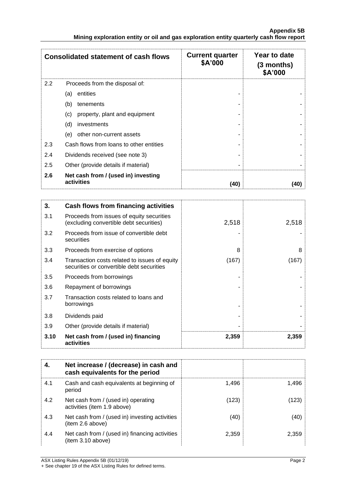|     | <b>Consolidated statement of cash flows</b>       | <b>Current quarter</b><br>\$A'000 | Year to date<br>$(3$ months)<br>\$A'000 |
|-----|---------------------------------------------------|-----------------------------------|-----------------------------------------|
| 2.2 | Proceeds from the disposal of:                    |                                   |                                         |
|     | entities<br>(a)                                   |                                   |                                         |
|     | (b)<br>tenements                                  |                                   |                                         |
|     | property, plant and equipment<br>(c)              |                                   |                                         |
|     | (d)<br>investments                                |                                   |                                         |
|     | other non-current assets<br>(e)                   |                                   |                                         |
| 2.3 | Cash flows from loans to other entities           |                                   |                                         |
| 2.4 | Dividends received (see note 3)                   |                                   |                                         |
| 2.5 | Other (provide details if material)               |                                   |                                         |
| 2.6 | Net cash from / (used in) investing<br>activities | (40)                              | (40)                                    |

| 3.   | Cash flows from financing activities                                                       |       |       |
|------|--------------------------------------------------------------------------------------------|-------|-------|
| 3.1  | Proceeds from issues of equity securities<br>(excluding convertible debt securities)       | 2,518 | 2,518 |
| 3.2  | Proceeds from issue of convertible debt<br>securities                                      |       |       |
| 3.3  | Proceeds from exercise of options                                                          | 8     | 8     |
| 3.4  | Transaction costs related to issues of equity<br>securities or convertible debt securities | (167) | (167) |
| 3.5  | Proceeds from borrowings                                                                   |       |       |
| 3.6  | Repayment of borrowings                                                                    |       |       |
| 3.7  | Transaction costs related to loans and<br>borrowings                                       |       |       |
| 3.8  | Dividends paid                                                                             |       |       |
| 3.9  | Other (provide details if material)                                                        |       |       |
| 3.10 | Net cash from / (used in) financing<br>activities                                          | 2,359 | 2,359 |

|     | Net increase / (decrease) in cash and<br>cash equivalents for the period |       |       |
|-----|--------------------------------------------------------------------------|-------|-------|
| 4.1 | Cash and cash equivalents at beginning of<br>period                      | 1.496 | 1.496 |
| 4.2 | Net cash from / (used in) operating<br>activities (item 1.9 above)       | (123) | (123  |
| 4.3 | Net cash from / (used in) investing activities<br>(item 2.6 above)       | (40)  | (40)  |
| 4.4 | Net cash from / (used in) financing activities<br>(item 3.10 above)      | 2,359 | 2,359 |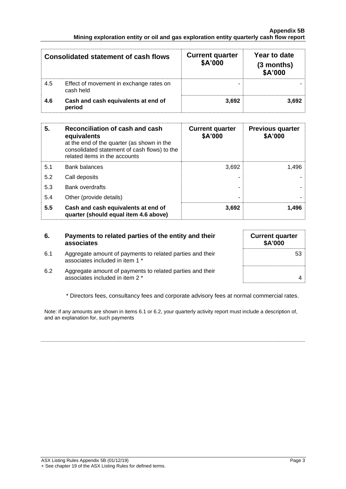#### **Appendix 5B Mining exploration entity or oil and gas exploration entity quarterly cash flow report**

|     | <b>Consolidated statement of cash flows</b>          | <b>Current quarter</b><br>\$A'000 | Year to date<br>(3 months)<br>\$A'000 |
|-----|------------------------------------------------------|-----------------------------------|---------------------------------------|
| 4.5 | Effect of movement in exchange rates on<br>cash held |                                   |                                       |
| 4.6 | Cash and cash equivalents at end of<br>period        | 3.692                             | 3.692                                 |

| 5.  | Reconciliation of cash and cash<br>equivalents<br>at the end of the quarter (as shown in the<br>consolidated statement of cash flows) to the<br>related items in the accounts | <b>Current quarter</b><br>\$A'000 | <b>Previous quarter</b><br>\$A'000 |
|-----|-------------------------------------------------------------------------------------------------------------------------------------------------------------------------------|-----------------------------------|------------------------------------|
| 5.1 | <b>Bank balances</b>                                                                                                                                                          | 3,692                             | 1,496                              |
| 5.2 | Call deposits                                                                                                                                                                 |                                   |                                    |
| 5.3 | <b>Bank overdrafts</b>                                                                                                                                                        |                                   |                                    |
| 5.4 | Other (provide details)                                                                                                                                                       | -                                 |                                    |
| 5.5 | Cash and cash equivalents at end of<br>quarter (should equal item 4.6 above)                                                                                                  | 3,692                             | 1,496                              |

## **6. Payments to related parties of the entity and their associates**

| 6.1 | Aggregate amount of payments to related parties and their |  |
|-----|-----------------------------------------------------------|--|
|     | associates included in item 1 *                           |  |

| <b>Current quarter</b><br>\$A'000 |    |
|-----------------------------------|----|
|                                   | 53 |
|                                   |    |

6.2 Aggregate amount of payments to related parties and their associates included in item 2 \* 4

\* Directors fees, consultancy fees and corporate advisory fees at normal commercial rates.

Note: if any amounts are shown in items 6.1 or 6.2, your quarterly activity report must include a description of, and an explanation for, such payments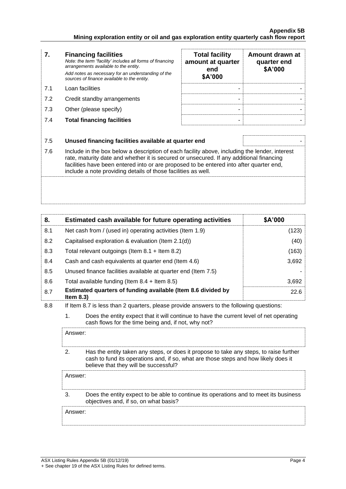## **Appendix 5B Mining exploration entity or oil and gas exploration entity quarterly cash flow report**

| 7.  | <b>Financing facilities</b><br>Note: the term "facility' includes all forms of financing<br>arrangements available to the entity.<br>Add notes as necessary for an understanding of the<br>sources of finance available to the entity. | <b>Total facility</b><br>amount at quarter<br>end<br>\$A'000 | Amount drawn at<br>quarter end<br>\$A'000 |
|-----|----------------------------------------------------------------------------------------------------------------------------------------------------------------------------------------------------------------------------------------|--------------------------------------------------------------|-------------------------------------------|
| 7.1 | Loan facilities                                                                                                                                                                                                                        |                                                              |                                           |
| 7.2 | Credit standby arrangements                                                                                                                                                                                                            | ۰                                                            |                                           |
| 7.3 | Other (please specify)                                                                                                                                                                                                                 | -                                                            |                                           |
| 7.4 | <b>Total financing facilities</b>                                                                                                                                                                                                      |                                                              |                                           |
|     |                                                                                                                                                                                                                                        |                                                              |                                           |
| 7.5 | Unused financing facilities available at quarter end                                                                                                                                                                                   |                                                              |                                           |

7.6 Include in the box below a description of each facility above, including the lender, interest rate, maturity date and whether it is secured or unsecured. If any additional financing facilities have been entered into or are proposed to be entered into after quarter end, include a note providing details of those facilities as well.

| 8.  | Estimated cash available for future operating activities                     | \$A'000 |
|-----|------------------------------------------------------------------------------|---------|
| 8.1 | Net cash from / (used in) operating activities (Item 1.9)                    | (123)   |
| 8.2 | Capitalised exploration & evaluation (Item 2.1(d))                           | (40)    |
| 8.3 | Total relevant outgoings (Item $8.1 +$ Item $8.2$ )                          | (163)   |
| 8.4 | Cash and cash equivalents at quarter end (Item 4.6)                          | 3,692   |
| 8.5 | Unused finance facilities available at quarter end (Item 7.5)                |         |
| 8.6 | Total available funding (Item $8.4$ + Item $8.5$ )                           | 3,692   |
| 8.7 | Estimated quarters of funding available (Item 8.6 divided by<br>Item $8.3$ ) | 22.6    |

8.8 If Item 8.7 is less than 2 quarters, please provide answers to the following questions:

1. Does the entity expect that it will continue to have the current level of net operating cash flows for the time being and, if not, why not?

Answer:

2. Has the entity taken any steps, or does it propose to take any steps, to raise further cash to fund its operations and, if so, what are those steps and how likely does it believe that they will be successful?

Answer:

3. Does the entity expect to be able to continue its operations and to meet its business objectives and, if so, on what basis?

Answer: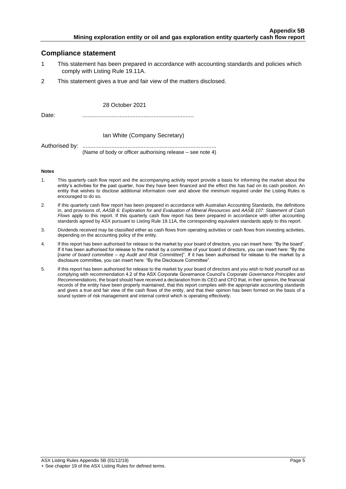# **Compliance statement**

- 1 This statement has been prepared in accordance with accounting standards and policies which comply with Listing Rule 19.11A.
- 2 This statement gives a true and fair view of the matters disclosed.

#### 28 October 2021

Date: .....................................................................

#### Ian White (Company Secretary)

Authorised by: ................................................................................... (Name of body or officer authorising release – see note 4)

#### **Notes**

- 1. This quarterly cash flow report and the accompanying activity report provide a basis for informing the market about the entity's activities for the past quarter, how they have been financed and the effect this has had on its cash position. An entity that wishes to disclose additional information over and above the minimum required under the Listing Rules is encouraged to do so.
- 2. If this quarterly cash flow report has been prepared in accordance with Australian Accounting Standards, the definitions in, and provisions of, *AASB 6: Exploration for and Evaluation of Mineral Resources* and *AASB 107: Statement of Cash Flows* apply to this report. If this quarterly cash flow report has been prepared in accordance with other accounting standards agreed by ASX pursuant to Listing Rule 19.11A, the corresponding equivalent standards apply to this report.
- 3. Dividends received may be classified either as cash flows from operating activities or cash flows from investing activities, depending on the accounting policy of the entity.
- 4. If this report has been authorised for release to the market by your board of directors, you can insert here: "By the board". If it has been authorised for release to the market by a committee of your board of directors, you can insert here: "By the [*name of board committee* – *eg Audit and Risk Committee*]". If it has been authorised for release to the market by a disclosure committee, you can insert here: "By the Disclosure Committee".
- 5. If this report has been authorised for release to the market by your board of directors and you wish to hold yourself out as complying with recommendation 4.2 of the ASX Corporate Governance Council's *Corporate Governance Principles and Recommendations*, the board should have received a declaration from its CEO and CFO that, in their opinion, the financial records of the entity have been properly maintained, that this report complies with the appropriate accounting standards and gives a true and fair view of the cash flows of the entity, and that their opinion has been formed on the basis of a sound system of risk management and internal control which is operating effectively.